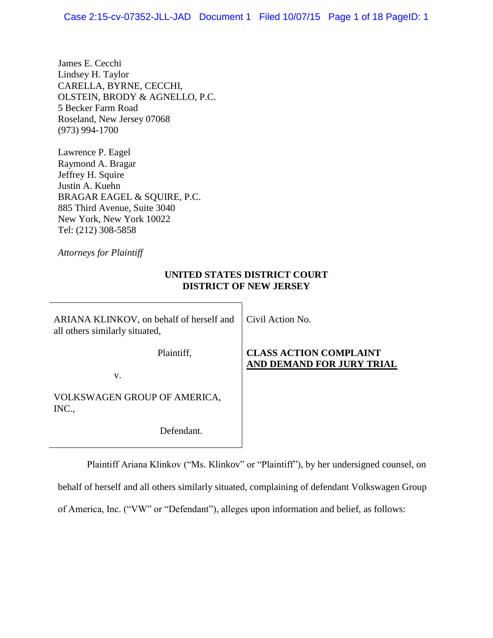James E. Cecchi Lindsey H. Taylor CARELLA, BYRNE, CECCHI, OLSTEIN, BRODY & AGNELLO, P.C. 5 Becker Farm Road Roseland, New Jersey 07068 (973) 994-1700

Lawrence P. Eagel Raymond A. Bragar Jeffrey H. Squire Justin A. Kuehn BRAGAR EAGEL & SQUIRE, P.C. 885 Third Avenue, Suite 3040 New York, New York 10022 Tel: (212) 308-5858

*Attorneys for Plaintiff*

# **UNITED STATES DISTRICT COURT DISTRICT OF NEW JERSEY**

ARIANA KLINKOV, on behalf of herself and all others similarly situated,

Civil Action No.

Plaintiff,

# **CLASS ACTION COMPLAINT AND DEMAND FOR JURY TRIAL**

v.

VOLKSWAGEN GROUP OF AMERICA, INC.,

Defendant.

Plaintiff Ariana Klinkov ("Ms. Klinkov" or "Plaintiff"), by her undersigned counsel, on

behalf of herself and all others similarly situated, complaining of defendant Volkswagen Group

of America, Inc. ("VW" or "Defendant"), alleges upon information and belief, as follows: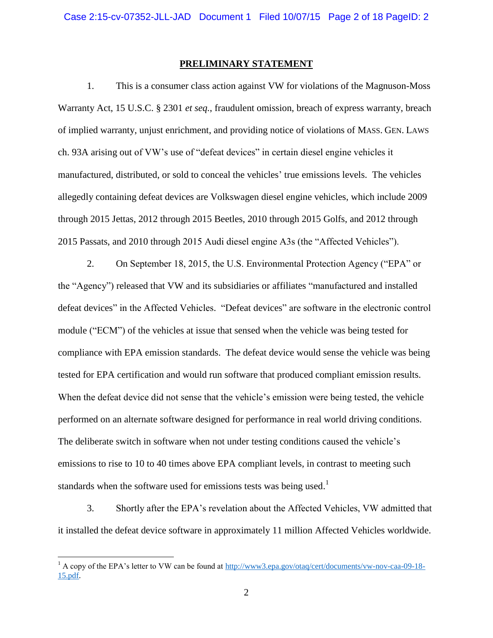### **PRELIMINARY STATEMENT**

1. This is a consumer class action against VW for violations of the Magnuson-Moss Warranty Act, 15 U.S.C. § 2301 *et seq.*, fraudulent omission, breach of express warranty, breach of implied warranty, unjust enrichment, and providing notice of violations of MASS. GEN. LAWS ch. 93A arising out of VW's use of "defeat devices" in certain diesel engine vehicles it manufactured, distributed, or sold to conceal the vehicles' true emissions levels. The vehicles allegedly containing defeat devices are Volkswagen diesel engine vehicles, which include 2009 through 2015 Jettas, 2012 through 2015 Beetles, 2010 through 2015 Golfs, and 2012 through 2015 Passats, and 2010 through 2015 Audi diesel engine A3s (the "Affected Vehicles").

2. On September 18, 2015, the U.S. Environmental Protection Agency ("EPA" or the "Agency") released that VW and its subsidiaries or affiliates "manufactured and installed defeat devices" in the Affected Vehicles. "Defeat devices" are software in the electronic control module ("ECM") of the vehicles at issue that sensed when the vehicle was being tested for compliance with EPA emission standards. The defeat device would sense the vehicle was being tested for EPA certification and would run software that produced compliant emission results. When the defeat device did not sense that the vehicle's emission were being tested, the vehicle performed on an alternate software designed for performance in real world driving conditions. The deliberate switch in software when not under testing conditions caused the vehicle's emissions to rise to 10 to 40 times above EPA compliant levels, in contrast to meeting such standards when the software used for emissions tests was being used.<sup>1</sup>

3. Shortly after the EPA's revelation about the Affected Vehicles, VW admitted that it installed the defeat device software in approximately 11 million Affected Vehicles worldwide.

 $\overline{a}$ 

<sup>&</sup>lt;sup>1</sup> A copy of the EPA's letter to VW can be found at [http://www3.epa.gov/otaq/cert/documents/vw-nov-caa-09-18-](www3.epa.gov/otaq/cert/documents/vw-nov-caa-09-18-15.pdf) [15.pdf.](www3.epa.gov/otaq/cert/documents/vw-nov-caa-09-18-15.pdf)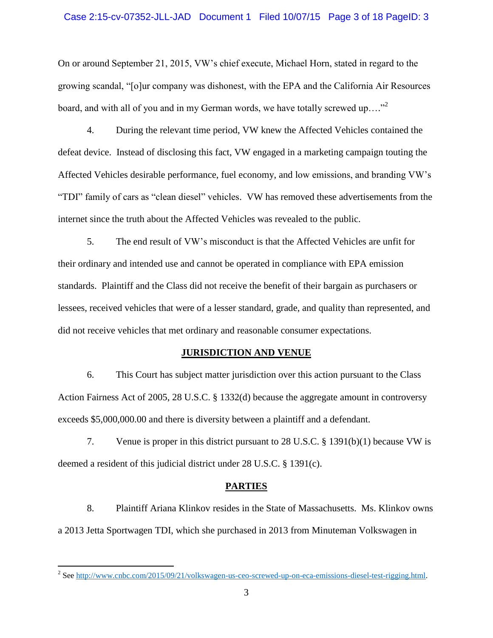### Case 2:15-cv-07352-JLL-JAD Document 1 Filed 10/07/15 Page 3 of 18 PageID: 3

On or around September 21, 2015, VW's chief execute, Michael Horn, stated in regard to the growing scandal, "[o]ur company was dishonest, with the EPA and the California Air Resources board, and with all of you and in my German words, we have totally screwed up...."<sup>2</sup>

4. During the relevant time period, VW knew the Affected Vehicles contained the defeat device. Instead of disclosing this fact, VW engaged in a marketing campaign touting the Affected Vehicles desirable performance, fuel economy, and low emissions, and branding VW's "TDI" family of cars as "clean diesel" vehicles. VW has removed these advertisements from the internet since the truth about the Affected Vehicles was revealed to the public.

5. The end result of VW's misconduct is that the Affected Vehicles are unfit for their ordinary and intended use and cannot be operated in compliance with EPA emission standards. Plaintiff and the Class did not receive the benefit of their bargain as purchasers or lessees, received vehicles that were of a lesser standard, grade, and quality than represented, and did not receive vehicles that met ordinary and reasonable consumer expectations.

## **JURISDICTION AND VENUE**

6. This Court has subject matter jurisdiction over this action pursuant to the Class Action Fairness Act of 2005, 28 U.S.C. § 1332(d) because the aggregate amount in controversy exceeds \$5,000,000.00 and there is diversity between a plaintiff and a defendant.

7. Venue is proper in this district pursuant to 28 U.S.C. § 1391(b)(1) because VW is deemed a resident of this judicial district under 28 U.S.C. § 1391(c).

#### **PARTIES**

8. Plaintiff Ariana Klinkov resides in the State of Massachusetts. Ms. Klinkov owns a 2013 Jetta Sportwagen TDI, which she purchased in 2013 from Minuteman Volkswagen in

<sup>&</sup>lt;sup>2</sup> Se[e http://www.cnbc.com/2015/09/21/volkswagen-us-ceo-screwed-up-on-eca-emissions-diesel-test-rigging.html.](http://www.cnbc.com/2015/09/21/volkswagen-us-ceo-screwed-up-on-eca-emissions-diesel-test-rigging.html)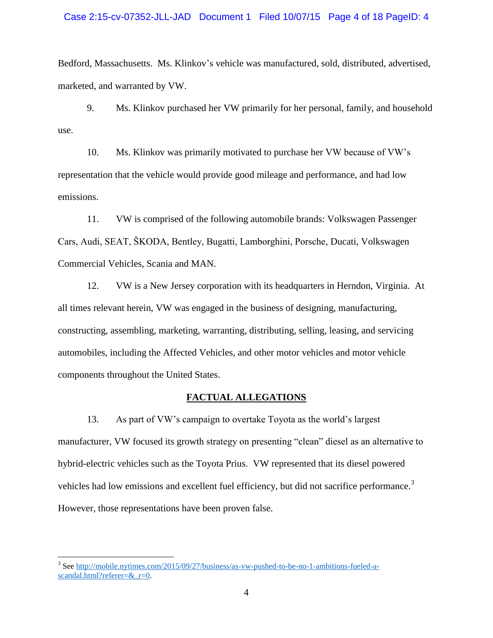### Case 2:15-cv-07352-JLL-JAD Document 1 Filed 10/07/15 Page 4 of 18 PageID: 4

Bedford, Massachusetts. Ms. Klinkov's vehicle was manufactured, sold, distributed, advertised, marketed, and warranted by VW.

9. Ms. Klinkov purchased her VW primarily for her personal, family, and household use.

10. Ms. Klinkov was primarily motivated to purchase her VW because of VW's representation that the vehicle would provide good mileage and performance, and had low emissions.

11. VW is comprised of the following automobile brands: Volkswagen Passenger Cars, Audi, SEAT, ŠKODA, Bentley, Bugatti, Lamborghini, Porsche, Ducati, Volkswagen Commercial Vehicles, Scania and MAN.

12. VW is a New Jersey corporation with its headquarters in Herndon, Virginia. At all times relevant herein, VW was engaged in the business of designing, manufacturing, constructing, assembling, marketing, warranting, distributing, selling, leasing, and servicing automobiles, including the Affected Vehicles, and other motor vehicles and motor vehicle components throughout the United States.

### **FACTUAL ALLEGATIONS**

13. As part of VW's campaign to overtake Toyota as the world's largest manufacturer, VW focused its growth strategy on presenting "clean" diesel as an alternative to hybrid-electric vehicles such as the Toyota Prius. VW represented that its diesel powered vehicles had low emissions and excellent fuel efficiency, but did not sacrifice performance.<sup>3</sup> However, those representations have been proven false.

 $\overline{a}$ 

<sup>&</sup>lt;sup>3</sup> Se[e http://mobile.nytimes.com/2015/09/27/business/as-vw-pushed-to-be-no-1-ambitions-fueled-a](http://mobile.nytimes.com/2015/09/27/business/as-vw-pushed-to-be-no-1-ambitions-fueled-a-scandal.html?referer=&_r=0)scandal.html?referer=&\_r=0.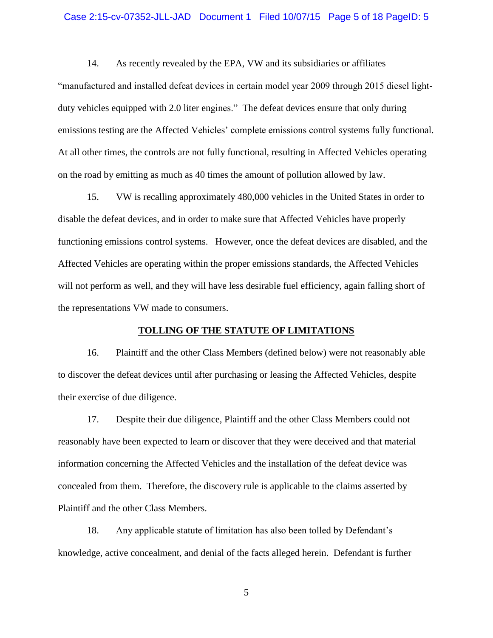### Case 2:15-cv-07352-JLL-JAD Document 1 Filed 10/07/15 Page 5 of 18 PageID: 5

14. As recently revealed by the EPA, VW and its subsidiaries or affiliates "manufactured and installed defeat devices in certain model year 2009 through 2015 diesel lightduty vehicles equipped with 2.0 liter engines." The defeat devices ensure that only during emissions testing are the Affected Vehicles' complete emissions control systems fully functional. At all other times, the controls are not fully functional, resulting in Affected Vehicles operating on the road by emitting as much as 40 times the amount of pollution allowed by law.

15. VW is recalling approximately 480,000 vehicles in the United States in order to disable the defeat devices, and in order to make sure that Affected Vehicles have properly functioning emissions control systems. However, once the defeat devices are disabled, and the Affected Vehicles are operating within the proper emissions standards, the Affected Vehicles will not perform as well, and they will have less desirable fuel efficiency, again falling short of the representations VW made to consumers.

### **TOLLING OF THE STATUTE OF LIMITATIONS**

16. Plaintiff and the other Class Members (defined below) were not reasonably able to discover the defeat devices until after purchasing or leasing the Affected Vehicles, despite their exercise of due diligence.

17. Despite their due diligence, Plaintiff and the other Class Members could not reasonably have been expected to learn or discover that they were deceived and that material information concerning the Affected Vehicles and the installation of the defeat device was concealed from them. Therefore, the discovery rule is applicable to the claims asserted by Plaintiff and the other Class Members.

18. Any applicable statute of limitation has also been tolled by Defendant's knowledge, active concealment, and denial of the facts alleged herein. Defendant is further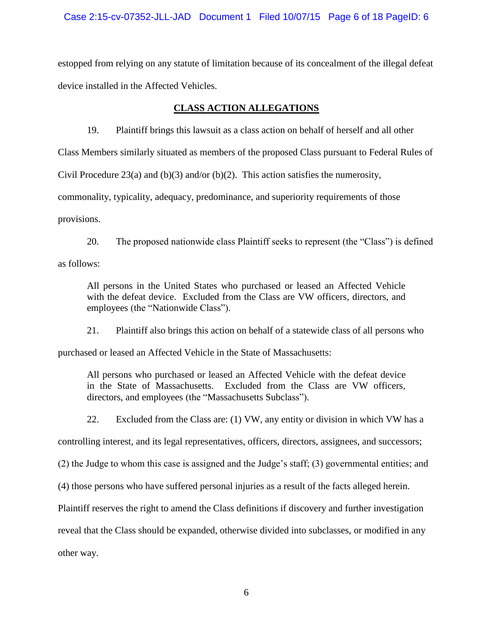# Case 2:15-cv-07352-JLL-JAD Document 1 Filed 10/07/15 Page 6 of 18 PageID: 6

estopped from relying on any statute of limitation because of its concealment of the illegal defeat device installed in the Affected Vehicles.

# **CLASS ACTION ALLEGATIONS**

19. Plaintiff brings this lawsuit as a class action on behalf of herself and all other

Class Members similarly situated as members of the proposed Class pursuant to Federal Rules of

Civil Procedure 23(a) and (b)(3) and/or (b)(2). This action satisfies the numerosity,

commonality, typicality, adequacy, predominance, and superiority requirements of those

provisions.

20. The proposed nationwide class Plaintiff seeks to represent (the "Class") is defined

as follows:

All persons in the United States who purchased or leased an Affected Vehicle with the defeat device. Excluded from the Class are VW officers, directors, and employees (the "Nationwide Class").

21. Plaintiff also brings this action on behalf of a statewide class of all persons who

purchased or leased an Affected Vehicle in the State of Massachusetts:

All persons who purchased or leased an Affected Vehicle with the defeat device in the State of Massachusetts. Excluded from the Class are VW officers, directors, and employees (the "Massachusetts Subclass").

22. Excluded from the Class are: (1) VW, any entity or division in which VW has a

controlling interest, and its legal representatives, officers, directors, assignees, and successors;

(2) the Judge to whom this case is assigned and the Judge's staff; (3) governmental entities; and

(4) those persons who have suffered personal injuries as a result of the facts alleged herein.

Plaintiff reserves the right to amend the Class definitions if discovery and further investigation

reveal that the Class should be expanded, otherwise divided into subclasses, or modified in any

other way.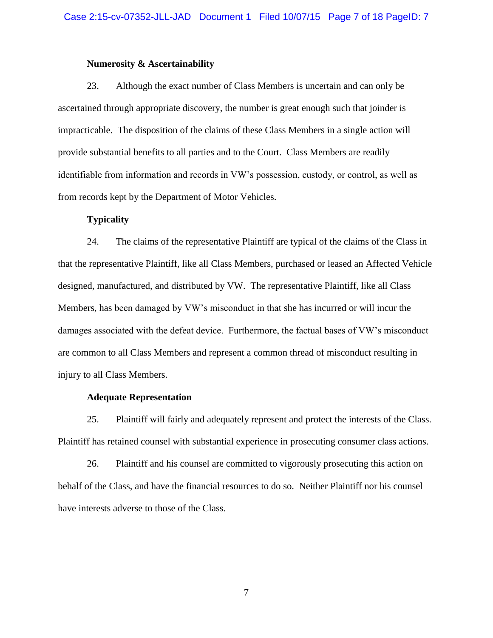### **Numerosity & Ascertainability**

23. Although the exact number of Class Members is uncertain and can only be ascertained through appropriate discovery, the number is great enough such that joinder is impracticable. The disposition of the claims of these Class Members in a single action will provide substantial benefits to all parties and to the Court. Class Members are readily identifiable from information and records in VW's possession, custody, or control, as well as from records kept by the Department of Motor Vehicles.

# **Typicality**

24. The claims of the representative Plaintiff are typical of the claims of the Class in that the representative Plaintiff, like all Class Members, purchased or leased an Affected Vehicle designed, manufactured, and distributed by VW. The representative Plaintiff, like all Class Members, has been damaged by VW's misconduct in that she has incurred or will incur the damages associated with the defeat device. Furthermore, the factual bases of VW's misconduct are common to all Class Members and represent a common thread of misconduct resulting in injury to all Class Members.

### **Adequate Representation**

25. Plaintiff will fairly and adequately represent and protect the interests of the Class. Plaintiff has retained counsel with substantial experience in prosecuting consumer class actions.

26. Plaintiff and his counsel are committed to vigorously prosecuting this action on behalf of the Class, and have the financial resources to do so. Neither Plaintiff nor his counsel have interests adverse to those of the Class.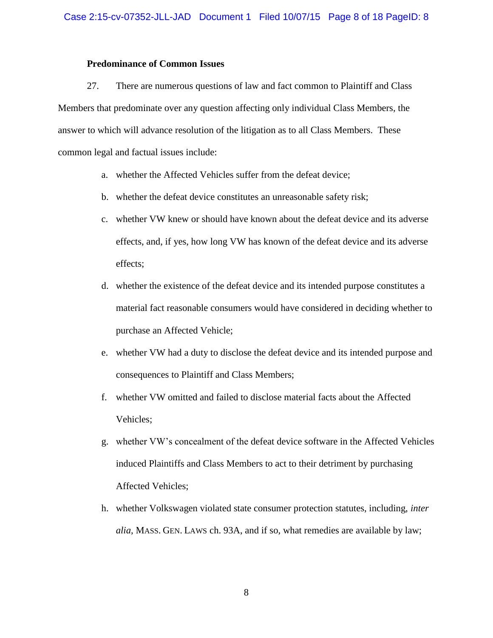## **Predominance of Common Issues**

27. There are numerous questions of law and fact common to Plaintiff and Class Members that predominate over any question affecting only individual Class Members, the answer to which will advance resolution of the litigation as to all Class Members. These common legal and factual issues include:

- a. whether the Affected Vehicles suffer from the defeat device;
- b. whether the defeat device constitutes an unreasonable safety risk;
- c. whether VW knew or should have known about the defeat device and its adverse effects, and, if yes, how long VW has known of the defeat device and its adverse effects;
- d. whether the existence of the defeat device and its intended purpose constitutes a material fact reasonable consumers would have considered in deciding whether to purchase an Affected Vehicle;
- e. whether VW had a duty to disclose the defeat device and its intended purpose and consequences to Plaintiff and Class Members;
- f. whether VW omitted and failed to disclose material facts about the Affected Vehicles;
- g. whether VW's concealment of the defeat device software in the Affected Vehicles induced Plaintiffs and Class Members to act to their detriment by purchasing Affected Vehicles;
- h. whether Volkswagen violated state consumer protection statutes, including, *inter alia*, MASS. GEN. LAWS ch. 93A, and if so, what remedies are available by law;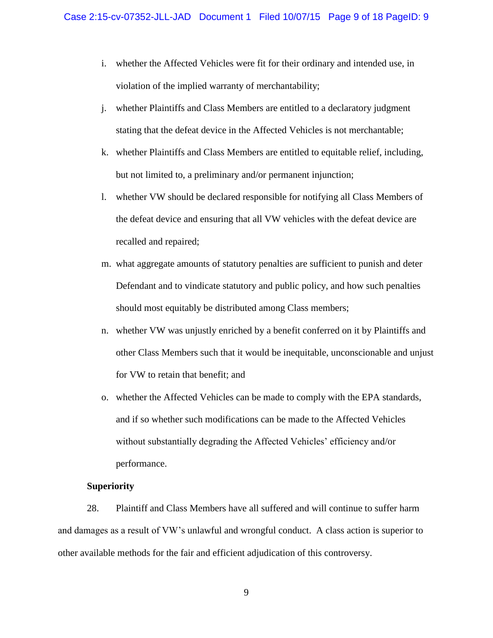- i. whether the Affected Vehicles were fit for their ordinary and intended use, in violation of the implied warranty of merchantability;
- j. whether Plaintiffs and Class Members are entitled to a declaratory judgment stating that the defeat device in the Affected Vehicles is not merchantable;
- k. whether Plaintiffs and Class Members are entitled to equitable relief, including, but not limited to, a preliminary and/or permanent injunction;
- l. whether VW should be declared responsible for notifying all Class Members of the defeat device and ensuring that all VW vehicles with the defeat device are recalled and repaired;
- m. what aggregate amounts of statutory penalties are sufficient to punish and deter Defendant and to vindicate statutory and public policy, and how such penalties should most equitably be distributed among Class members;
- n. whether VW was unjustly enriched by a benefit conferred on it by Plaintiffs and other Class Members such that it would be inequitable, unconscionable and unjust for VW to retain that benefit; and
- o. whether the Affected Vehicles can be made to comply with the EPA standards, and if so whether such modifications can be made to the Affected Vehicles without substantially degrading the Affected Vehicles' efficiency and/or performance.

# **Superiority**

28. Plaintiff and Class Members have all suffered and will continue to suffer harm and damages as a result of VW's unlawful and wrongful conduct. A class action is superior to other available methods for the fair and efficient adjudication of this controversy.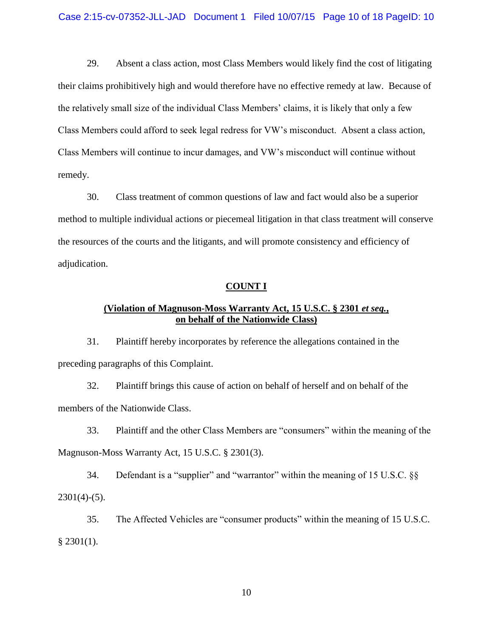29. Absent a class action, most Class Members would likely find the cost of litigating their claims prohibitively high and would therefore have no effective remedy at law. Because of the relatively small size of the individual Class Members' claims, it is likely that only a few Class Members could afford to seek legal redress for VW's misconduct. Absent a class action, Class Members will continue to incur damages, and VW's misconduct will continue without remedy.

30. Class treatment of common questions of law and fact would also be a superior method to multiple individual actions or piecemeal litigation in that class treatment will conserve the resources of the courts and the litigants, and will promote consistency and efficiency of adjudication.

#### **COUNT I**

# **(Violation of Magnuson-Moss Warranty Act, 15 U.S.C. § 2301** *et seq.***, on behalf of the Nationwide Class)**

31. Plaintiff hereby incorporates by reference the allegations contained in the preceding paragraphs of this Complaint.

32. Plaintiff brings this cause of action on behalf of herself and on behalf of the members of the Nationwide Class.

33. Plaintiff and the other Class Members are "consumers" within the meaning of the Magnuson-Moss Warranty Act, 15 U.S.C. § 2301(3).

34. Defendant is a "supplier" and "warrantor" within the meaning of 15 U.S.C. §§  $2301(4)-(5)$ .

35. The Affected Vehicles are "consumer products" within the meaning of 15 U.S.C.  $§$  2301(1).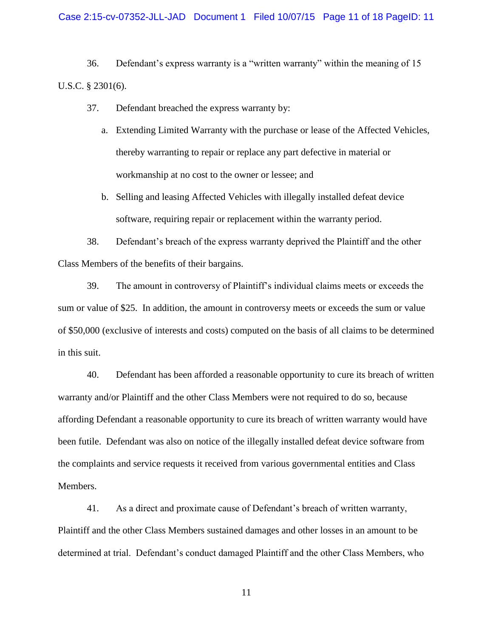### Case 2:15-cv-07352-JLL-JAD Document 1 Filed 10/07/15 Page 11 of 18 PageID: 11

36. Defendant's express warranty is a "written warranty" within the meaning of 15 U.S.C. § 2301(6).

- 37. Defendant breached the express warranty by:
	- a. Extending Limited Warranty with the purchase or lease of the Affected Vehicles, thereby warranting to repair or replace any part defective in material or workmanship at no cost to the owner or lessee; and
	- b. Selling and leasing Affected Vehicles with illegally installed defeat device software, requiring repair or replacement within the warranty period.

38. Defendant's breach of the express warranty deprived the Plaintiff and the other Class Members of the benefits of their bargains.

39. The amount in controversy of Plaintiff's individual claims meets or exceeds the sum or value of \$25. In addition, the amount in controversy meets or exceeds the sum or value of \$50,000 (exclusive of interests and costs) computed on the basis of all claims to be determined in this suit.

40. Defendant has been afforded a reasonable opportunity to cure its breach of written warranty and/or Plaintiff and the other Class Members were not required to do so, because affording Defendant a reasonable opportunity to cure its breach of written warranty would have been futile. Defendant was also on notice of the illegally installed defeat device software from the complaints and service requests it received from various governmental entities and Class Members.

41. As a direct and proximate cause of Defendant's breach of written warranty, Plaintiff and the other Class Members sustained damages and other losses in an amount to be determined at trial. Defendant's conduct damaged Plaintiff and the other Class Members, who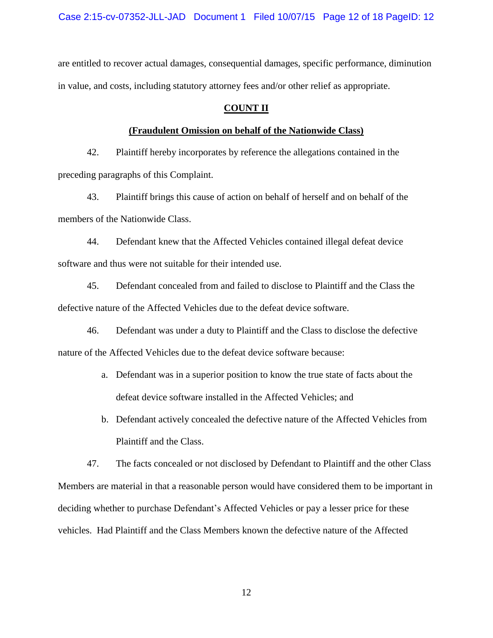are entitled to recover actual damages, consequential damages, specific performance, diminution in value, and costs, including statutory attorney fees and/or other relief as appropriate.

# **COUNT II**

### **(Fraudulent Omission on behalf of the Nationwide Class)**

42. Plaintiff hereby incorporates by reference the allegations contained in the preceding paragraphs of this Complaint.

43. Plaintiff brings this cause of action on behalf of herself and on behalf of the members of the Nationwide Class.

44. Defendant knew that the Affected Vehicles contained illegal defeat device software and thus were not suitable for their intended use.

45. Defendant concealed from and failed to disclose to Plaintiff and the Class the defective nature of the Affected Vehicles due to the defeat device software.

46. Defendant was under a duty to Plaintiff and the Class to disclose the defective nature of the Affected Vehicles due to the defeat device software because:

- a. Defendant was in a superior position to know the true state of facts about the defeat device software installed in the Affected Vehicles; and
- b. Defendant actively concealed the defective nature of the Affected Vehicles from Plaintiff and the Class.

47. The facts concealed or not disclosed by Defendant to Plaintiff and the other Class Members are material in that a reasonable person would have considered them to be important in deciding whether to purchase Defendant's Affected Vehicles or pay a lesser price for these vehicles. Had Plaintiff and the Class Members known the defective nature of the Affected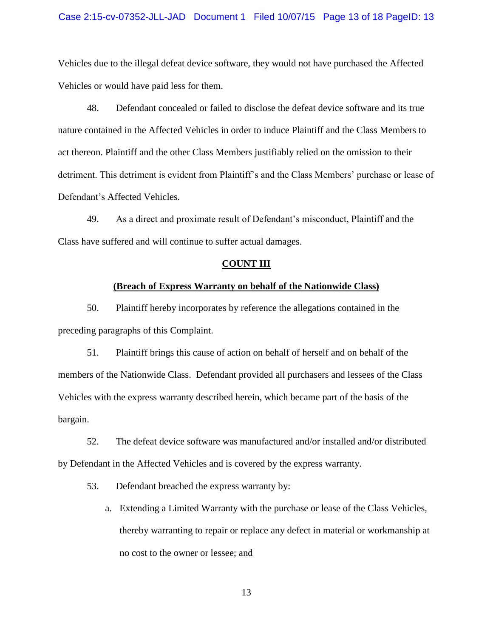### Case 2:15-cv-07352-JLL-JAD Document 1 Filed 10/07/15 Page 13 of 18 PageID: 13

Vehicles due to the illegal defeat device software, they would not have purchased the Affected Vehicles or would have paid less for them.

48. Defendant concealed or failed to disclose the defeat device software and its true nature contained in the Affected Vehicles in order to induce Plaintiff and the Class Members to act thereon. Plaintiff and the other Class Members justifiably relied on the omission to their detriment. This detriment is evident from Plaintiff's and the Class Members' purchase or lease of Defendant's Affected Vehicles.

49. As a direct and proximate result of Defendant's misconduct, Plaintiff and the Class have suffered and will continue to suffer actual damages.

#### **COUNT III**

### **(Breach of Express Warranty on behalf of the Nationwide Class)**

50. Plaintiff hereby incorporates by reference the allegations contained in the preceding paragraphs of this Complaint.

51. Plaintiff brings this cause of action on behalf of herself and on behalf of the members of the Nationwide Class. Defendant provided all purchasers and lessees of the Class Vehicles with the express warranty described herein, which became part of the basis of the bargain.

52. The defeat device software was manufactured and/or installed and/or distributed by Defendant in the Affected Vehicles and is covered by the express warranty.

53. Defendant breached the express warranty by:

a. Extending a Limited Warranty with the purchase or lease of the Class Vehicles, thereby warranting to repair or replace any defect in material or workmanship at no cost to the owner or lessee; and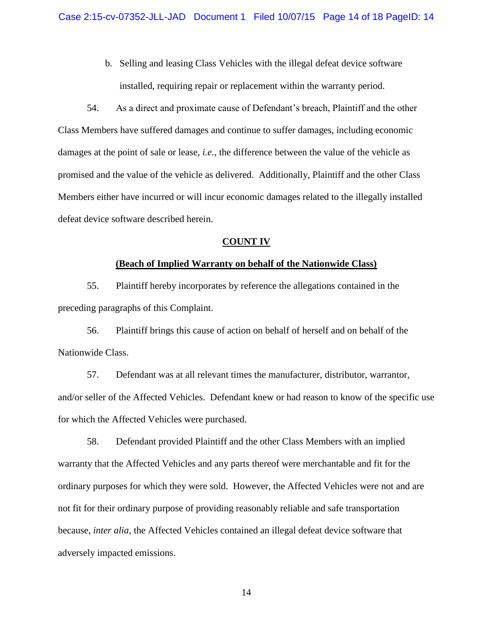b. Selling and leasing Class Vehicles with the illegal defeat device software installed, requiring repair or replacement within the warranty period.

54. As a direct and proximate cause of Defendant's breach, Plaintiff and the other Class Members have suffered damages and continue to suffer damages, including economic damages at the point of sale or lease, *i.e.*, the difference between the value of the vehicle as promised and the value of the vehicle as delivered. Additionally, Plaintiff and the other Class Members either have incurred or will incur economic damages related to the illegally installed defeat device software described herein.

## **COUNT IV**

### **(Beach of Implied Warranty on behalf of the Nationwide Class)**

55. Plaintiff hereby incorporates by reference the allegations contained in the preceding paragraphs of this Complaint.

56. Plaintiff brings this cause of action on behalf of herself and on behalf of the Nationwide Class.

57. Defendant was at all relevant times the manufacturer, distributor, warrantor, and/or seller of the Affected Vehicles. Defendant knew or had reason to know of the specific use for which the Affected Vehicles were purchased.

58. Defendant provided Plaintiff and the other Class Members with an implied warranty that the Affected Vehicles and any parts thereof were merchantable and fit for the ordinary purposes for which they were sold. However, the Affected Vehicles were not and are not fit for their ordinary purpose of providing reasonably reliable and safe transportation because, *inter alia*, the Affected Vehicles contained an illegal defeat device software that adversely impacted emissions.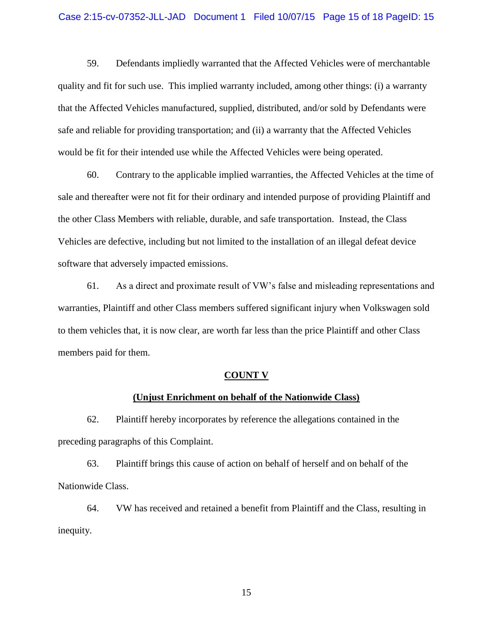### Case 2:15-cv-07352-JLL-JAD Document 1 Filed 10/07/15 Page 15 of 18 PageID: 15

59. Defendants impliedly warranted that the Affected Vehicles were of merchantable quality and fit for such use. This implied warranty included, among other things: (i) a warranty that the Affected Vehicles manufactured, supplied, distributed, and/or sold by Defendants were safe and reliable for providing transportation; and (ii) a warranty that the Affected Vehicles would be fit for their intended use while the Affected Vehicles were being operated.

60. Contrary to the applicable implied warranties, the Affected Vehicles at the time of sale and thereafter were not fit for their ordinary and intended purpose of providing Plaintiff and the other Class Members with reliable, durable, and safe transportation. Instead, the Class Vehicles are defective, including but not limited to the installation of an illegal defeat device software that adversely impacted emissions.

61. As a direct and proximate result of VW's false and misleading representations and warranties, Plaintiff and other Class members suffered significant injury when Volkswagen sold to them vehicles that, it is now clear, are worth far less than the price Plaintiff and other Class members paid for them.

#### **COUNT V**

# **(Unjust Enrichment on behalf of the Nationwide Class)**

62. Plaintiff hereby incorporates by reference the allegations contained in the preceding paragraphs of this Complaint.

63. Plaintiff brings this cause of action on behalf of herself and on behalf of the Nationwide Class.

64. VW has received and retained a benefit from Plaintiff and the Class, resulting in inequity.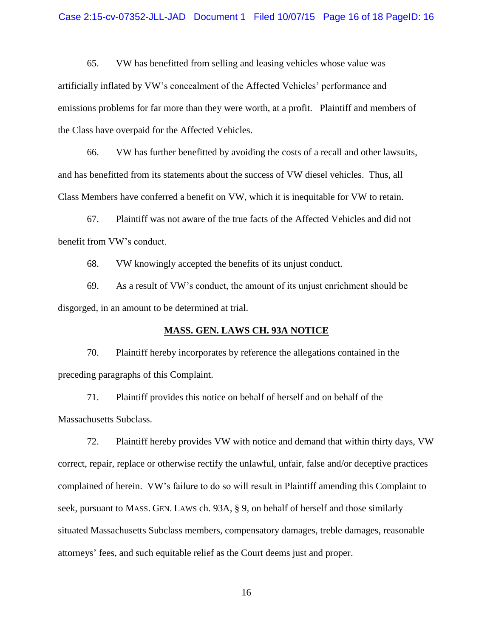### Case 2:15-cv-07352-JLL-JAD Document 1 Filed 10/07/15 Page 16 of 18 PageID: 16

65. VW has benefitted from selling and leasing vehicles whose value was artificially inflated by VW's concealment of the Affected Vehicles' performance and emissions problems for far more than they were worth, at a profit. Plaintiff and members of the Class have overpaid for the Affected Vehicles.

66. VW has further benefitted by avoiding the costs of a recall and other lawsuits, and has benefitted from its statements about the success of VW diesel vehicles. Thus, all Class Members have conferred a benefit on VW, which it is inequitable for VW to retain.

67. Plaintiff was not aware of the true facts of the Affected Vehicles and did not benefit from VW's conduct.

68. VW knowingly accepted the benefits of its unjust conduct.

69. As a result of VW's conduct, the amount of its unjust enrichment should be disgorged, in an amount to be determined at trial.

### **MASS. GEN. LAWS CH. 93A NOTICE**

70. Plaintiff hereby incorporates by reference the allegations contained in the preceding paragraphs of this Complaint.

71. Plaintiff provides this notice on behalf of herself and on behalf of the Massachusetts Subclass.

72. Plaintiff hereby provides VW with notice and demand that within thirty days, VW correct, repair, replace or otherwise rectify the unlawful, unfair, false and/or deceptive practices complained of herein. VW's failure to do so will result in Plaintiff amending this Complaint to seek, pursuant to MASS. GEN. LAWS ch. 93A, § 9, on behalf of herself and those similarly situated Massachusetts Subclass members, compensatory damages, treble damages, reasonable attorneys' fees, and such equitable relief as the Court deems just and proper.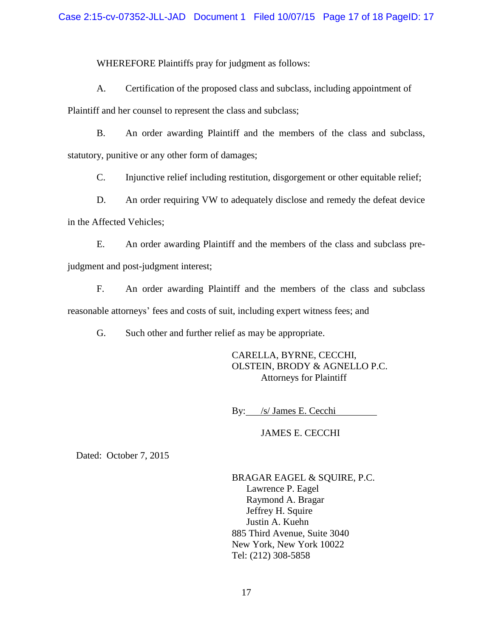# Case 2:15-cv-07352-JLL-JAD Document 1 Filed 10/07/15 Page 17 of 18 PageID: 17

WHEREFORE Plaintiffs pray for judgment as follows:

A. Certification of the proposed class and subclass, including appointment of

Plaintiff and her counsel to represent the class and subclass;

B. An order awarding Plaintiff and the members of the class and subclass, statutory, punitive or any other form of damages;

C. Injunctive relief including restitution, disgorgement or other equitable relief;

D. An order requiring VW to adequately disclose and remedy the defeat device in the Affected Vehicles;

E. An order awarding Plaintiff and the members of the class and subclass prejudgment and post-judgment interest;

F. An order awarding Plaintiff and the members of the class and subclass reasonable attorneys' fees and costs of suit, including expert witness fees; and

G. Such other and further relief as may be appropriate.

CARELLA, BYRNE, CECCHI, OLSTEIN, BRODY & AGNELLO P.C. Attorneys for Plaintiff

By: /s/ James E. Cecchi

JAMES E. CECCHI

Dated: October 7, 2015

BRAGAR EAGEL & SQUIRE, P.C. Lawrence P. Eagel Raymond A. Bragar Jeffrey H. Squire Justin A. Kuehn 885 Third Avenue, Suite 3040 New York, New York 10022 Tel: (212) 308-5858